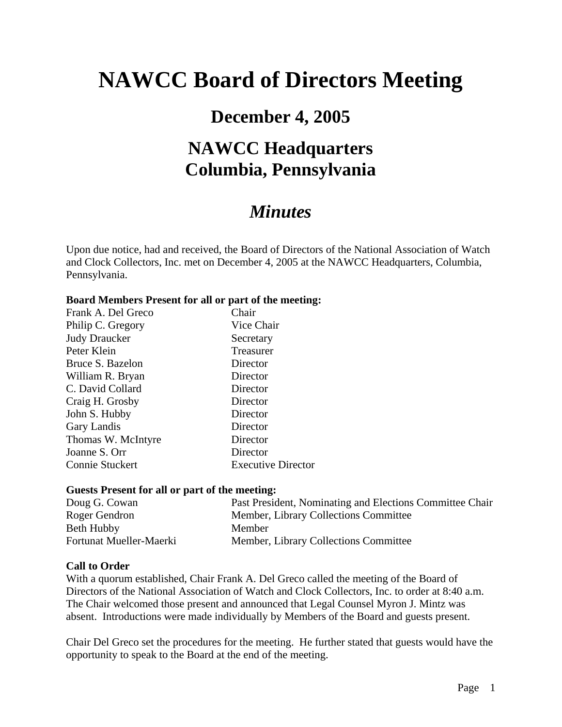# **NAWCC Board of Directors Meeting**

### **December 4, 2005**

## **NAWCC Headquarters Columbia, Pennsylvania**

### *Minutes*

Upon due notice, had and received, the Board of Directors of the National Association of Watch and Clock Collectors, Inc. met on December 4, 2005 at the NAWCC Headquarters, Columbia, Pennsylvania.

#### **Board Members Present for all or part of the meeting:**

| Frank A. Del Greco   | Chair                     |
|----------------------|---------------------------|
| Philip C. Gregory    | Vice Chair                |
| <b>Judy Draucker</b> | Secretary                 |
| Peter Klein          | Treasurer                 |
| Bruce S. Bazelon     | Director                  |
| William R. Bryan     | Director                  |
| C. David Collard     | Director                  |
| Craig H. Grosby      | Director                  |
| John S. Hubby        | Director                  |
| Gary Landis          | Director                  |
| Thomas W. McIntyre   | Director                  |
| Joanne S. Orr        | Director                  |
| Connie Stuckert      | <b>Executive Director</b> |

#### **Guests Present for all or part of the meeting:**

| Doug G. Cowan           | Past President, Nominating and Elections Committee Chair |
|-------------------------|----------------------------------------------------------|
| Roger Gendron           | Member, Library Collections Committee                    |
| Beth Hubby              | Member                                                   |
| Fortunat Mueller-Maerki | Member, Library Collections Committee                    |

### **Call to Order**

With a quorum established, Chair Frank A. Del Greco called the meeting of the Board of Directors of the National Association of Watch and Clock Collectors, Inc. to order at 8:40 a.m. The Chair welcomed those present and announced that Legal Counsel Myron J. Mintz was absent. Introductions were made individually by Members of the Board and guests present.

Chair Del Greco set the procedures for the meeting. He further stated that guests would have the opportunity to speak to the Board at the end of the meeting.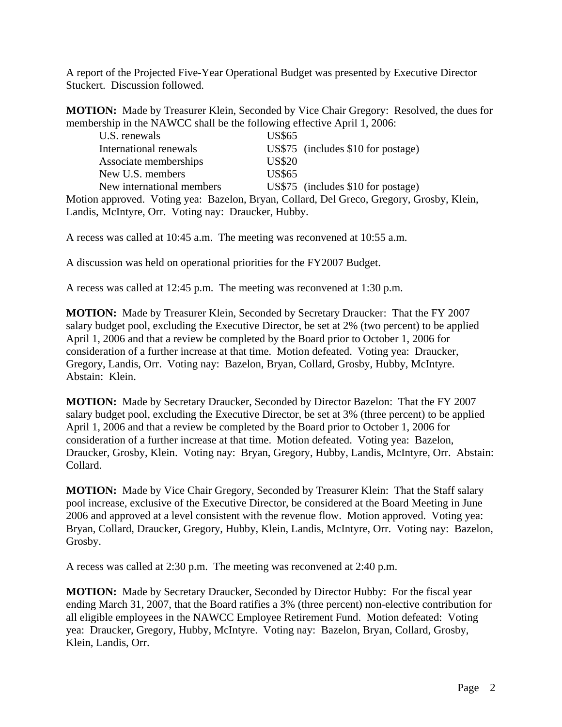A report of the Projected Five-Year Operational Budget was presented by Executive Director Stuckert. Discussion followed.

**MOTION:** Made by Treasurer Klein, Seconded by Vice Chair Gregory: Resolved, the dues for membership in the NAWCC shall be the following effective April 1, 2006:

| U.S. renewals             | <b>US\$65</b> |                                                                                          |  |
|---------------------------|---------------|------------------------------------------------------------------------------------------|--|
| International renewals    |               | US\$75 (includes \$10 for postage)                                                       |  |
| Associate memberships     | <b>US\$20</b> |                                                                                          |  |
| New U.S. members          | <b>US\$65</b> |                                                                                          |  |
| New international members |               | US\$75 (includes $$10$ for postage)                                                      |  |
|                           |               | Motion approved. Voting yea: Bazelon, Bryan, Collard, Del Greco, Gregory, Grosby, Klein, |  |

Landis, McIntyre, Orr. Voting nay: Draucker, Hubby.

A recess was called at 10:45 a.m. The meeting was reconvened at 10:55 a.m.

A discussion was held on operational priorities for the FY2007 Budget.

A recess was called at 12:45 p.m. The meeting was reconvened at 1:30 p.m.

**MOTION:** Made by Treasurer Klein, Seconded by Secretary Draucker: That the FY 2007 salary budget pool, excluding the Executive Director, be set at 2% (two percent) to be applied April 1, 2006 and that a review be completed by the Board prior to October 1, 2006 for consideration of a further increase at that time. Motion defeated. Voting yea: Draucker, Gregory, Landis, Orr. Voting nay: Bazelon, Bryan, Collard, Grosby, Hubby, McIntyre. Abstain: Klein.

**MOTION:** Made by Secretary Draucker, Seconded by Director Bazelon: That the FY 2007 salary budget pool, excluding the Executive Director, be set at 3% (three percent) to be applied April 1, 2006 and that a review be completed by the Board prior to October 1, 2006 for consideration of a further increase at that time. Motion defeated. Voting yea: Bazelon, Draucker, Grosby, Klein. Voting nay: Bryan, Gregory, Hubby, Landis, McIntyre, Orr. Abstain: Collard.

**MOTION:** Made by Vice Chair Gregory, Seconded by Treasurer Klein: That the Staff salary pool increase, exclusive of the Executive Director, be considered at the Board Meeting in June 2006 and approved at a level consistent with the revenue flow. Motion approved. Voting yea: Bryan, Collard, Draucker, Gregory, Hubby, Klein, Landis, McIntyre, Orr. Voting nay: Bazelon, Grosby.

A recess was called at 2:30 p.m. The meeting was reconvened at 2:40 p.m.

**MOTION:** Made by Secretary Draucker, Seconded by Director Hubby: For the fiscal year ending March 31, 2007, that the Board ratifies a 3% (three percent) non-elective contribution for all eligible employees in the NAWCC Employee Retirement Fund. Motion defeated: Voting yea: Draucker, Gregory, Hubby, McIntyre. Voting nay: Bazelon, Bryan, Collard, Grosby, Klein, Landis, Orr.